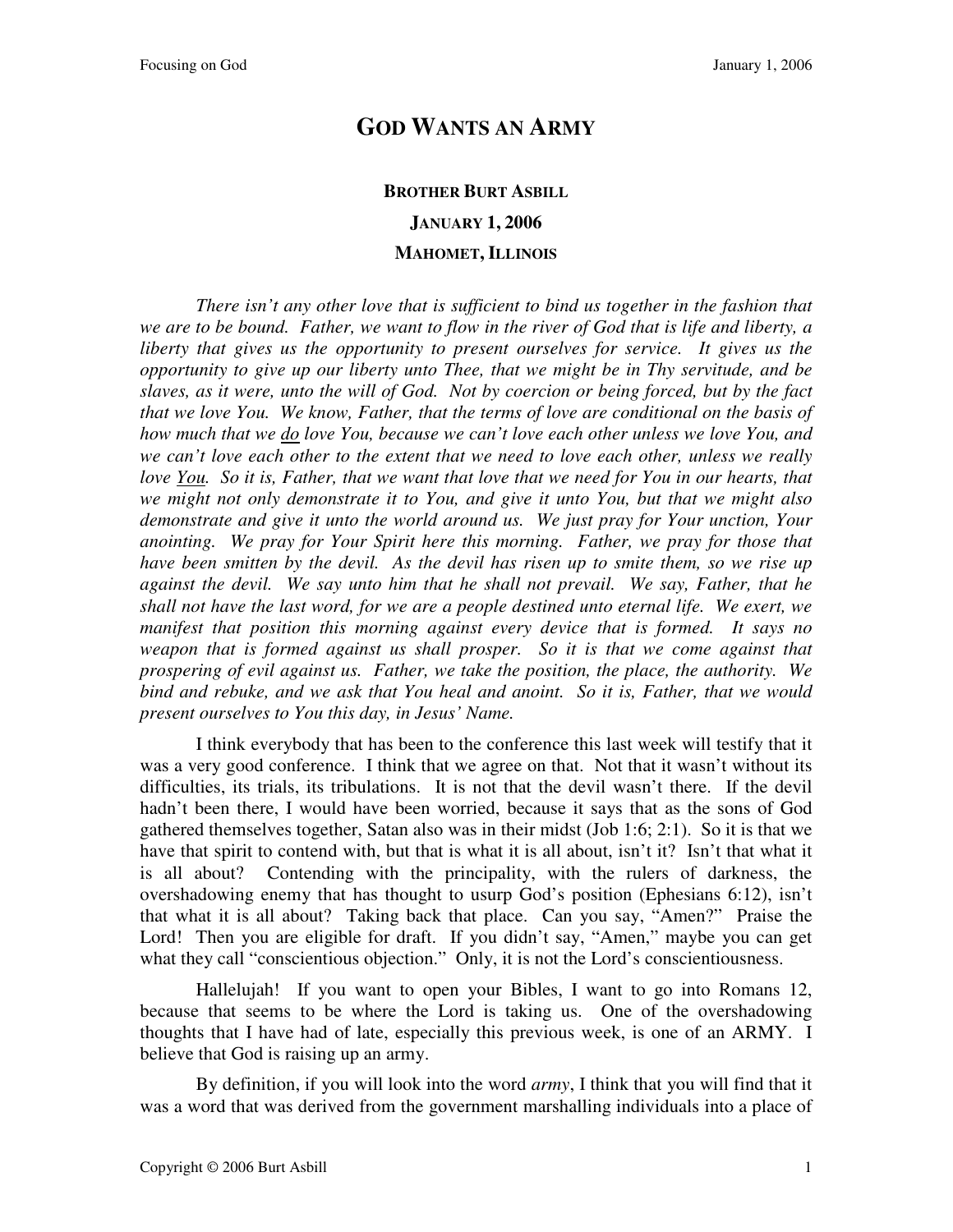## **GOD WANTS AN ARMY**

## **BROTHER BURT ASBILL JANUARY 1, 2006 MAHOMET, ILLINOIS**

*There isn't any other love that is sufficient to bind us together in the fashion that we are to be bound. Father, we want to flow in the river of God that is life and liberty, a liberty that gives us the opportunity to present ourselves for service. It gives us the opportunity to give up our liberty unto Thee, that we might be in Thy servitude, and be slaves, as it were, unto the will of God. Not by coercion or being forced, but by the fact that we love You. We know, Father, that the terms of love are conditional on the basis of how much that we do love You, because we can't love each other unless we love You, and we can't love each other to the extent that we need to love each other, unless we really love You. So it is, Father, that we want that love that we need for You in our hearts, that we might not only demonstrate it to You, and give it unto You, but that we might also demonstrate and give it unto the world around us. We just pray for Your unction, Your anointing. We pray for Your Spirit here this morning. Father, we pray for those that have been smitten by the devil. As the devil has risen up to smite them, so we rise up against the devil. We say unto him that he shall not prevail. We say, Father, that he shall not have the last word, for we are a people destined unto eternal life. We exert, we manifest that position this morning against every device that is formed. It says no*  weapon that is formed against us shall prosper. So it is that we come against that *prospering of evil against us. Father, we take the position, the place, the authority. We bind and rebuke, and we ask that You heal and anoint. So it is, Father, that we would present ourselves to You this day, in Jesus' Name.*

I think everybody that has been to the conference this last week will testify that it was a very good conference. I think that we agree on that. Not that it wasn't without its difficulties, its trials, its tribulations. It is not that the devil wasn't there. If the devil hadn't been there, I would have been worried, because it says that as the sons of God gathered themselves together, Satan also was in their midst (Job 1:6; 2:1). So it is that we have that spirit to contend with, but that is what it is all about, isn't it? Isn't that what it is all about? Contending with the principality, with the rulers of darkness, the overshadowing enemy that has thought to usurp God's position (Ephesians 6:12), isn't that what it is all about? Taking back that place. Can you say, "Amen?" Praise the Lord! Then you are eligible for draft. If you didn't say, "Amen," maybe you can get what they call "conscientious objection." Only, it is not the Lord's conscientiousness.

Hallelujah! If you want to open your Bibles, I want to go into Romans 12, because that seems to be where the Lord is taking us. One of the overshadowing thoughts that I have had of late, especially this previous week, is one of an ARMY. I believe that God is raising up an army.

By definition, if you will look into the word *army*, I think that you will find that it was a word that was derived from the government marshalling individuals into a place of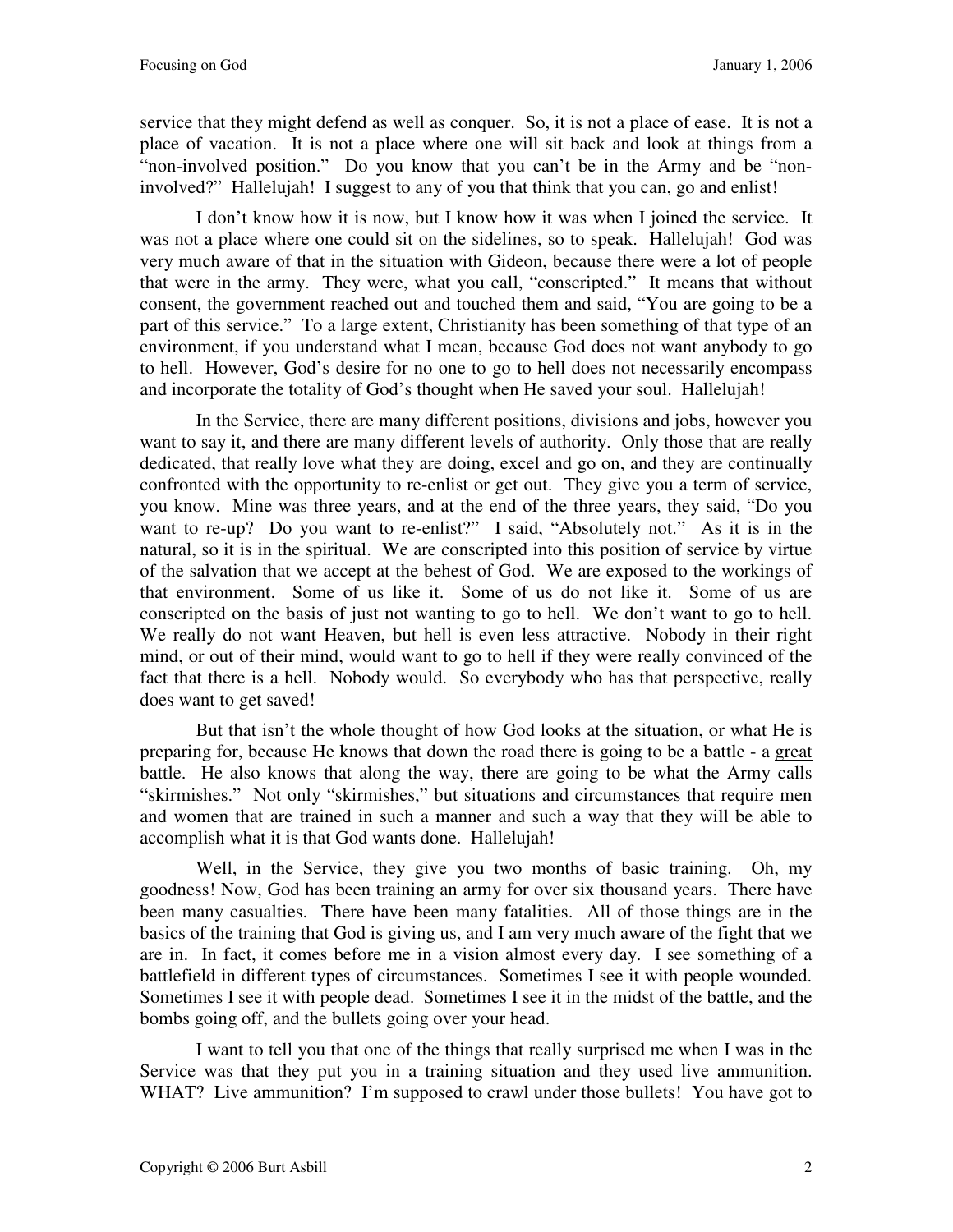service that they might defend as well as conquer. So, it is not a place of ease. It is not a place of vacation. It is not a place where one will sit back and look at things from a "non-involved position." Do you know that you can't be in the Army and be "noninvolved?" Hallelujah! I suggest to any of you that think that you can, go and enlist!

I don't know how it is now, but I know how it was when I joined the service. It was not a place where one could sit on the sidelines, so to speak. Hallelujah! God was very much aware of that in the situation with Gideon, because there were a lot of people that were in the army. They were, what you call, "conscripted." It means that without consent, the government reached out and touched them and said, "You are going to be a part of this service." To a large extent, Christianity has been something of that type of an environment, if you understand what I mean, because God does not want anybody to go to hell. However, God's desire for no one to go to hell does not necessarily encompass and incorporate the totality of God's thought when He saved your soul. Hallelujah!

In the Service, there are many different positions, divisions and jobs, however you want to say it, and there are many different levels of authority. Only those that are really dedicated, that really love what they are doing, excel and go on, and they are continually confronted with the opportunity to re-enlist or get out. They give you a term of service, you know. Mine was three years, and at the end of the three years, they said, "Do you want to re-up? Do you want to re-enlist?" I said, "Absolutely not." As it is in the natural, so it is in the spiritual. We are conscripted into this position of service by virtue of the salvation that we accept at the behest of God. We are exposed to the workings of that environment. Some of us like it. Some of us do not like it. Some of us are conscripted on the basis of just not wanting to go to hell. We don't want to go to hell. We really do not want Heaven, but hell is even less attractive. Nobody in their right mind, or out of their mind, would want to go to hell if they were really convinced of the fact that there is a hell. Nobody would. So everybody who has that perspective, really does want to get saved!

But that isn't the whole thought of how God looks at the situation, or what He is preparing for, because He knows that down the road there is going to be a battle - a great battle. He also knows that along the way, there are going to be what the Army calls "skirmishes." Not only "skirmishes," but situations and circumstances that require men and women that are trained in such a manner and such a way that they will be able to accomplish what it is that God wants done. Hallelujah!

Well, in the Service, they give you two months of basic training. Oh, my goodness! Now, God has been training an army for over six thousand years. There have been many casualties. There have been many fatalities. All of those things are in the basics of the training that God is giving us, and I am very much aware of the fight that we are in. In fact, it comes before me in a vision almost every day. I see something of a battlefield in different types of circumstances. Sometimes I see it with people wounded. Sometimes I see it with people dead. Sometimes I see it in the midst of the battle, and the bombs going off, and the bullets going over your head.

I want to tell you that one of the things that really surprised me when I was in the Service was that they put you in a training situation and they used live ammunition. WHAT? Live ammunition? I'm supposed to crawl under those bullets! You have got to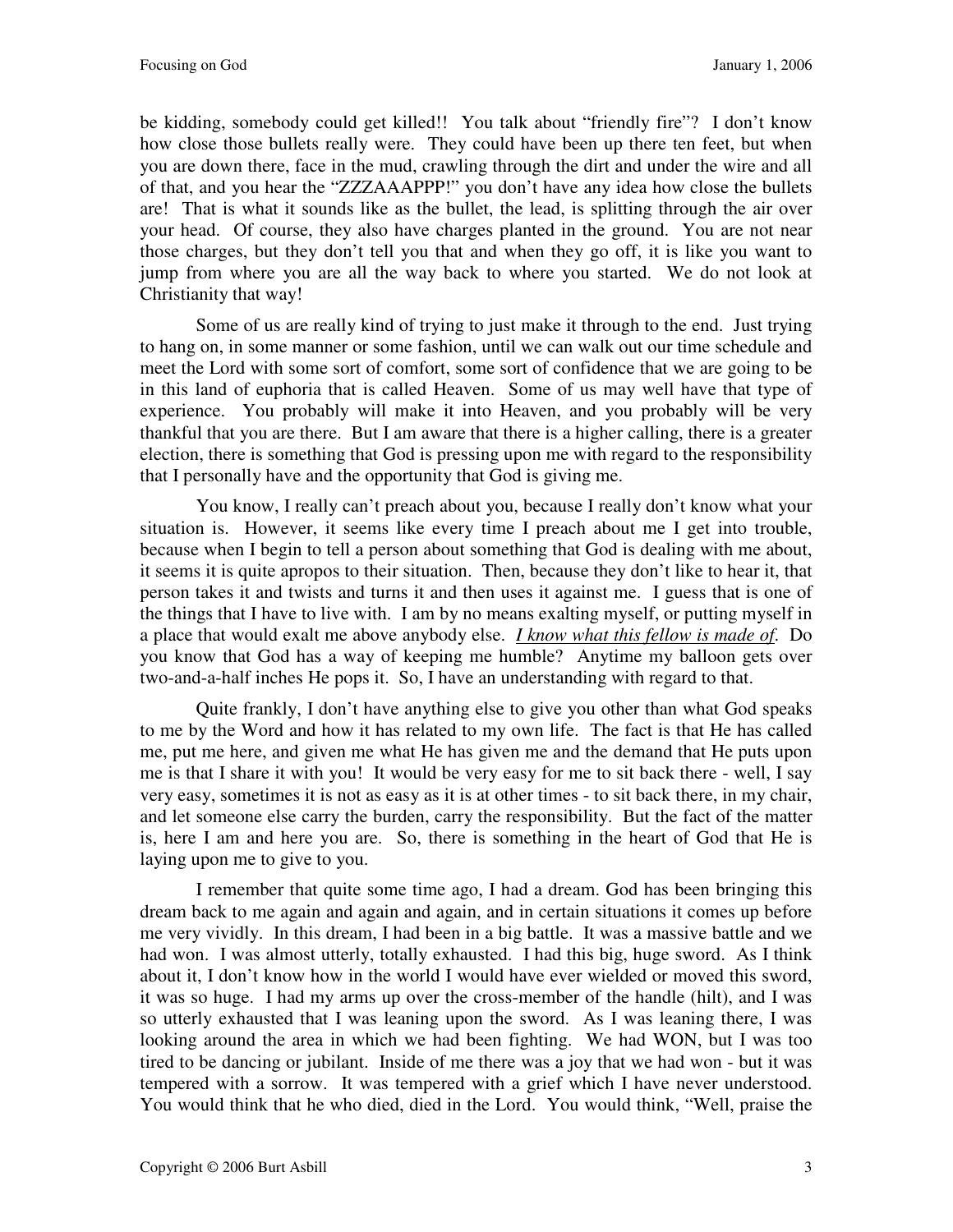be kidding, somebody could get killed!! You talk about "friendly fire"? I don't know how close those bullets really were. They could have been up there ten feet, but when you are down there, face in the mud, crawling through the dirt and under the wire and all of that, and you hear the "ZZZAAAPPP!" you don't have any idea how close the bullets are! That is what it sounds like as the bullet, the lead, is splitting through the air over your head. Of course, they also have charges planted in the ground. You are not near those charges, but they don't tell you that and when they go off, it is like you want to jump from where you are all the way back to where you started. We do not look at Christianity that way!

Some of us are really kind of trying to just make it through to the end. Just trying to hang on, in some manner or some fashion, until we can walk out our time schedule and meet the Lord with some sort of comfort, some sort of confidence that we are going to be in this land of euphoria that is called Heaven. Some of us may well have that type of experience. You probably will make it into Heaven, and you probably will be very thankful that you are there. But I am aware that there is a higher calling, there is a greater election, there is something that God is pressing upon me with regard to the responsibility that I personally have and the opportunity that God is giving me.

You know, I really can't preach about you, because I really don't know what your situation is. However, it seems like every time I preach about me I get into trouble, because when I begin to tell a person about something that God is dealing with me about, it seems it is quite apropos to their situation. Then, because they don't like to hear it, that person takes it and twists and turns it and then uses it against me. I guess that is one of the things that I have to live with. I am by no means exalting myself, or putting myself in a place that would exalt me above anybody else. *I know what this fellow is made of*. Do you know that God has a way of keeping me humble? Anytime my balloon gets over two-and-a-half inches He pops it. So, I have an understanding with regard to that.

Quite frankly, I don't have anything else to give you other than what God speaks to me by the Word and how it has related to my own life. The fact is that He has called me, put me here, and given me what He has given me and the demand that He puts upon me is that I share it with you! It would be very easy for me to sit back there - well, I say very easy, sometimes it is not as easy as it is at other times - to sit back there, in my chair, and let someone else carry the burden, carry the responsibility. But the fact of the matter is, here I am and here you are. So, there is something in the heart of God that He is laying upon me to give to you.

I remember that quite some time ago, I had a dream. God has been bringing this dream back to me again and again and again, and in certain situations it comes up before me very vividly. In this dream, I had been in a big battle. It was a massive battle and we had won. I was almost utterly, totally exhausted. I had this big, huge sword. As I think about it, I don't know how in the world I would have ever wielded or moved this sword, it was so huge. I had my arms up over the cross-member of the handle (hilt), and I was so utterly exhausted that I was leaning upon the sword. As I was leaning there, I was looking around the area in which we had been fighting. We had WON, but I was too tired to be dancing or jubilant. Inside of me there was a joy that we had won - but it was tempered with a sorrow. It was tempered with a grief which I have never understood. You would think that he who died, died in the Lord. You would think, "Well, praise the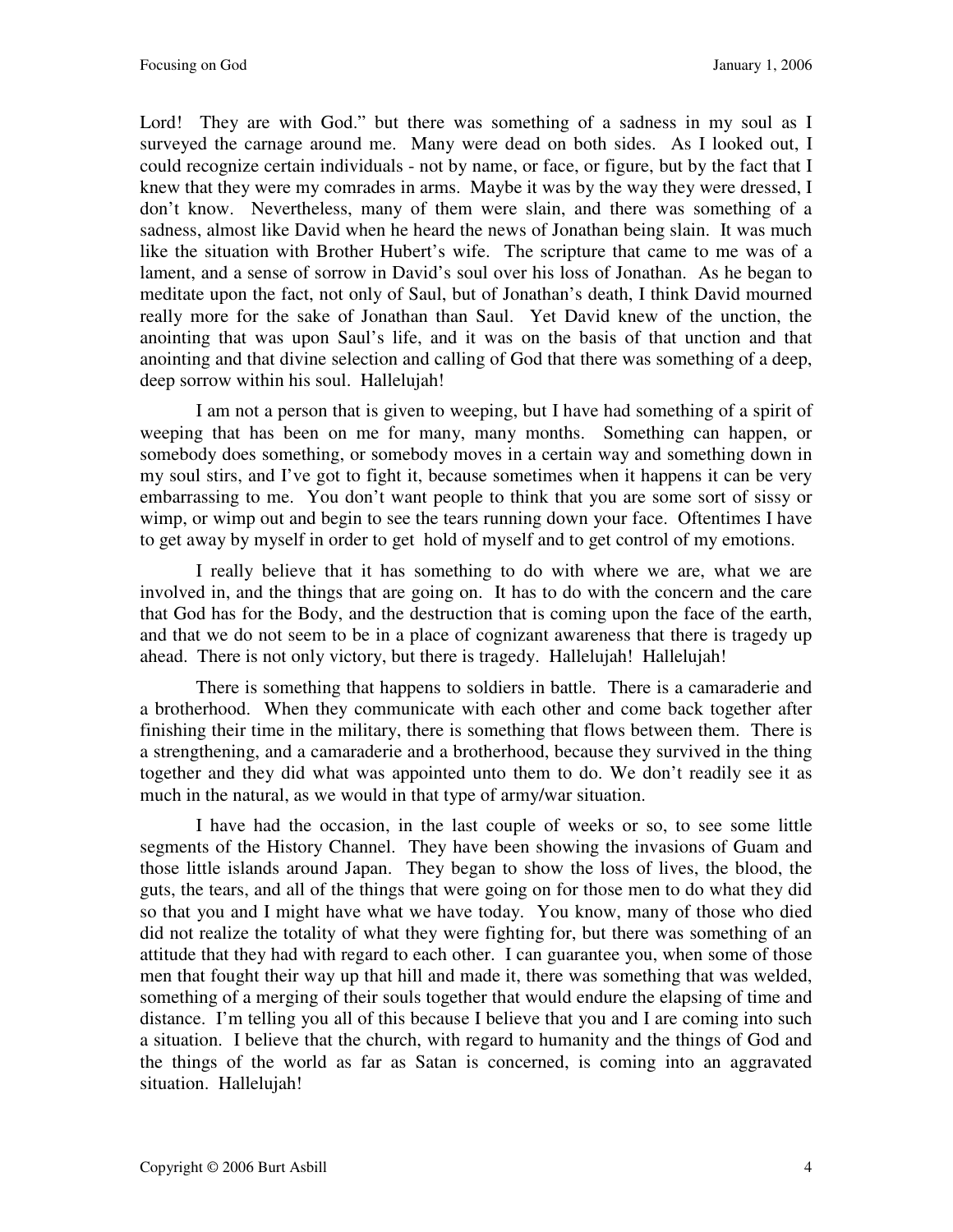Lord! They are with God." but there was something of a sadness in my soul as I surveyed the carnage around me. Many were dead on both sides. As I looked out, I could recognize certain individuals - not by name, or face, or figure, but by the fact that I knew that they were my comrades in arms. Maybe it was by the way they were dressed, I don't know. Nevertheless, many of them were slain, and there was something of a sadness, almost like David when he heard the news of Jonathan being slain. It was much like the situation with Brother Hubert's wife. The scripture that came to me was of a lament, and a sense of sorrow in David's soul over his loss of Jonathan. As he began to meditate upon the fact, not only of Saul, but of Jonathan's death, I think David mourned really more for the sake of Jonathan than Saul. Yet David knew of the unction, the anointing that was upon Saul's life, and it was on the basis of that unction and that anointing and that divine selection and calling of God that there was something of a deep, deep sorrow within his soul. Hallelujah!

I am not a person that is given to weeping, but I have had something of a spirit of weeping that has been on me for many, many months. Something can happen, or somebody does something, or somebody moves in a certain way and something down in my soul stirs, and I've got to fight it, because sometimes when it happens it can be very embarrassing to me. You don't want people to think that you are some sort of sissy or wimp, or wimp out and begin to see the tears running down your face. Oftentimes I have to get away by myself in order to get hold of myself and to get control of my emotions.

I really believe that it has something to do with where we are, what we are involved in, and the things that are going on. It has to do with the concern and the care that God has for the Body, and the destruction that is coming upon the face of the earth, and that we do not seem to be in a place of cognizant awareness that there is tragedy up ahead. There is not only victory, but there is tragedy. Hallelujah! Hallelujah!

There is something that happens to soldiers in battle. There is a camaraderie and a brotherhood. When they communicate with each other and come back together after finishing their time in the military, there is something that flows between them. There is a strengthening, and a camaraderie and a brotherhood, because they survived in the thing together and they did what was appointed unto them to do. We don't readily see it as much in the natural, as we would in that type of army/war situation.

I have had the occasion, in the last couple of weeks or so, to see some little segments of the History Channel. They have been showing the invasions of Guam and those little islands around Japan. They began to show the loss of lives, the blood, the guts, the tears, and all of the things that were going on for those men to do what they did so that you and I might have what we have today. You know, many of those who died did not realize the totality of what they were fighting for, but there was something of an attitude that they had with regard to each other. I can guarantee you, when some of those men that fought their way up that hill and made it, there was something that was welded, something of a merging of their souls together that would endure the elapsing of time and distance. I'm telling you all of this because I believe that you and I are coming into such a situation. I believe that the church, with regard to humanity and the things of God and the things of the world as far as Satan is concerned, is coming into an aggravated situation. Hallelujah!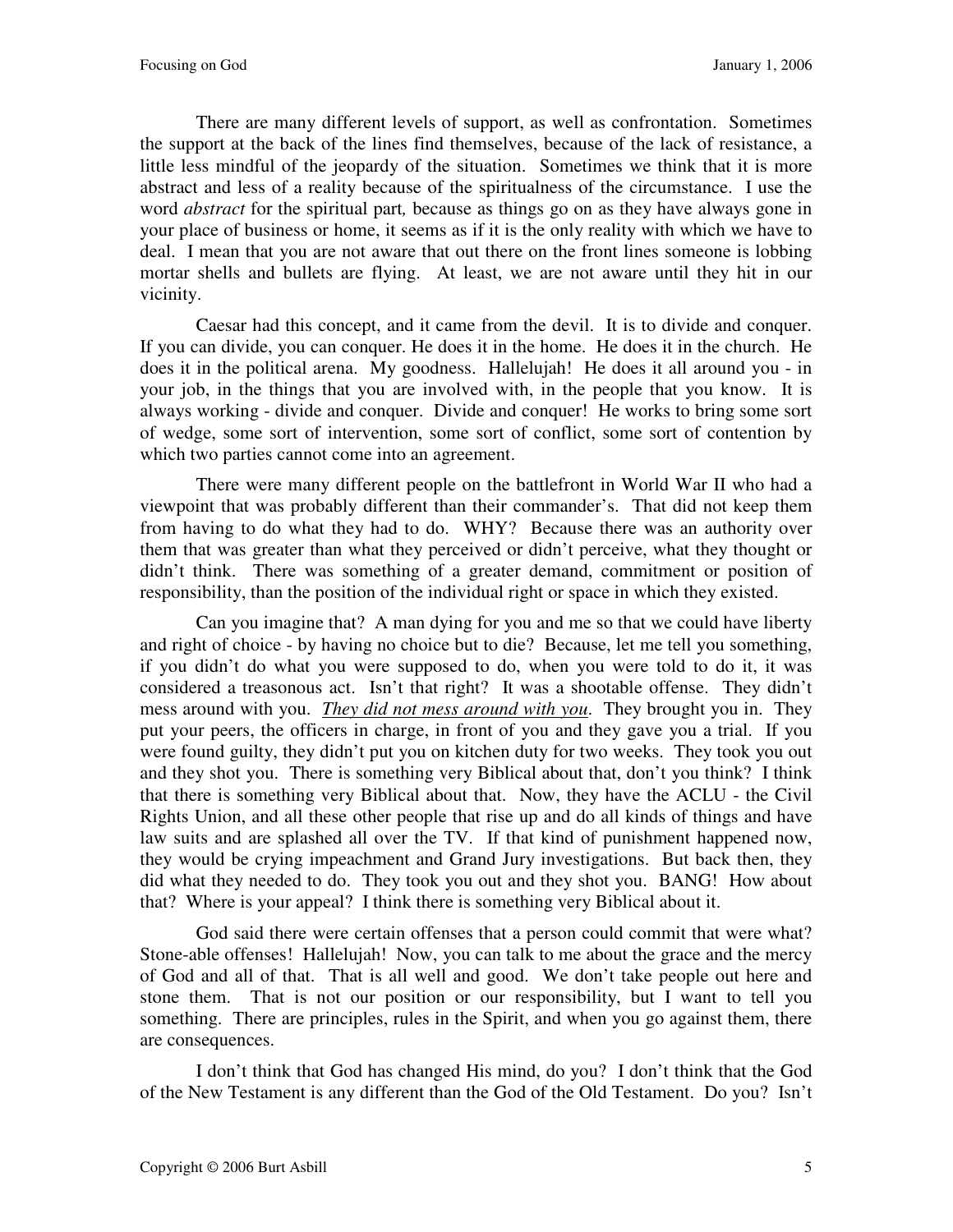There are many different levels of support, as well as confrontation. Sometimes the support at the back of the lines find themselves, because of the lack of resistance, a little less mindful of the jeopardy of the situation. Sometimes we think that it is more abstract and less of a reality because of the spiritualness of the circumstance. I use the word *abstract* for the spiritual part*,* because as things go on as they have always gone in your place of business or home, it seems as if it is the only reality with which we have to deal. I mean that you are not aware that out there on the front lines someone is lobbing mortar shells and bullets are flying. At least, we are not aware until they hit in our vicinity.

Caesar had this concept, and it came from the devil. It is to divide and conquer. If you can divide, you can conquer. He does it in the home. He does it in the church. He does it in the political arena. My goodness. Hallelujah! He does it all around you - in your job, in the things that you are involved with, in the people that you know. It is always working - divide and conquer. Divide and conquer! He works to bring some sort of wedge, some sort of intervention, some sort of conflict, some sort of contention by which two parties cannot come into an agreement.

There were many different people on the battlefront in World War II who had a viewpoint that was probably different than their commander's. That did not keep them from having to do what they had to do. WHY? Because there was an authority over them that was greater than what they perceived or didn't perceive, what they thought or didn't think. There was something of a greater demand, commitment or position of responsibility, than the position of the individual right or space in which they existed.

Can you imagine that? A man dying for you and me so that we could have liberty and right of choice - by having no choice but to die? Because, let me tell you something, if you didn't do what you were supposed to do, when you were told to do it, it was considered a treasonous act. Isn't that right? It was a shootable offense. They didn't mess around with you. *They did not mess around with you*. They brought you in. They put your peers, the officers in charge, in front of you and they gave you a trial. If you were found guilty, they didn't put you on kitchen duty for two weeks. They took you out and they shot you. There is something very Biblical about that, don't you think? I think that there is something very Biblical about that. Now, they have the ACLU - the Civil Rights Union, and all these other people that rise up and do all kinds of things and have law suits and are splashed all over the TV. If that kind of punishment happened now, they would be crying impeachment and Grand Jury investigations. But back then, they did what they needed to do. They took you out and they shot you. BANG! How about that? Where is your appeal? I think there is something very Biblical about it.

God said there were certain offenses that a person could commit that were what? Stone-able offenses! Hallelujah! Now, you can talk to me about the grace and the mercy of God and all of that. That is all well and good. We don't take people out here and stone them. That is not our position or our responsibility, but I want to tell you something. There are principles, rules in the Spirit, and when you go against them, there are consequences.

I don't think that God has changed His mind, do you? I don't think that the God of the New Testament is any different than the God of the Old Testament. Do you? Isn't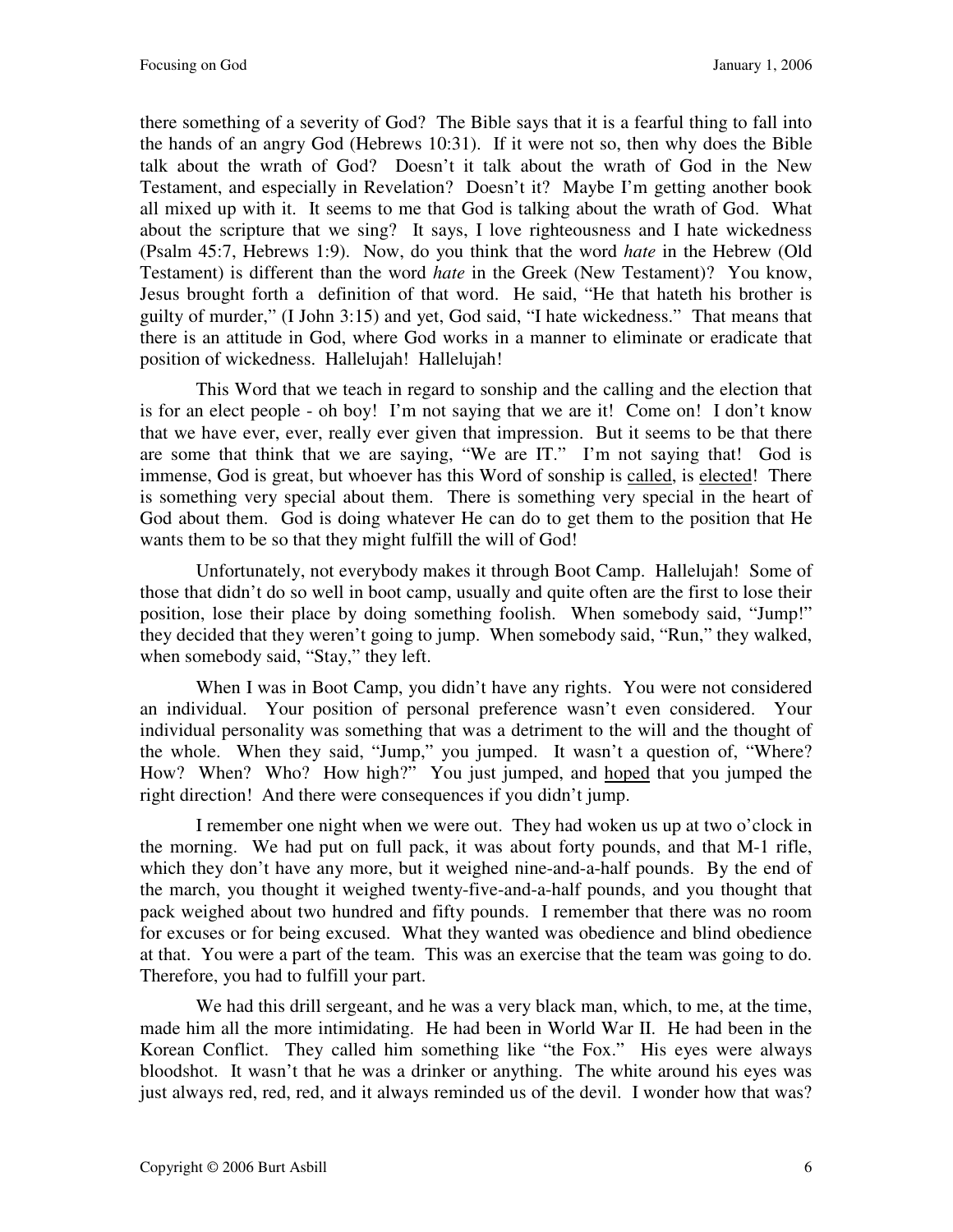there something of a severity of God? The Bible says that it is a fearful thing to fall into the hands of an angry God (Hebrews 10:31). If it were not so, then why does the Bible talk about the wrath of God? Doesn't it talk about the wrath of God in the New Testament, and especially in Revelation? Doesn't it? Maybe I'm getting another book all mixed up with it. It seems to me that God is talking about the wrath of God. What about the scripture that we sing? It says, I love righteousness and I hate wickedness (Psalm 45:7, Hebrews 1:9). Now, do you think that the word *hate* in the Hebrew (Old Testament) is different than the word *hate* in the Greek (New Testament)? You know, Jesus brought forth a definition of that word. He said, "He that hateth his brother is guilty of murder," (I John 3:15) and yet, God said, "I hate wickedness." That means that there is an attitude in God, where God works in a manner to eliminate or eradicate that position of wickedness. Hallelujah! Hallelujah!

This Word that we teach in regard to sonship and the calling and the election that is for an elect people - oh boy! I'm not saying that we are it! Come on! I don't know that we have ever, ever, really ever given that impression. But it seems to be that there are some that think that we are saying, "We are IT." I'm not saying that! God is immense, God is great, but whoever has this Word of sonship is called, is elected! There is something very special about them. There is something very special in the heart of God about them. God is doing whatever He can do to get them to the position that He wants them to be so that they might fulfill the will of God!

Unfortunately, not everybody makes it through Boot Camp. Hallelujah! Some of those that didn't do so well in boot camp, usually and quite often are the first to lose their position, lose their place by doing something foolish. When somebody said, "Jump!" they decided that they weren't going to jump. When somebody said, "Run," they walked, when somebody said, "Stay," they left.

When I was in Boot Camp, you didn't have any rights. You were not considered an individual. Your position of personal preference wasn't even considered. Your individual personality was something that was a detriment to the will and the thought of the whole. When they said, "Jump," you jumped. It wasn't a question of, "Where? How? When? Who? How high?" You just jumped, and hoped that you jumped the right direction! And there were consequences if you didn't jump.

I remember one night when we were out. They had woken us up at two o'clock in the morning. We had put on full pack, it was about forty pounds, and that M-1 rifle, which they don't have any more, but it weighed nine-and-a-half pounds. By the end of the march, you thought it weighed twenty-five-and-a-half pounds, and you thought that pack weighed about two hundred and fifty pounds. I remember that there was no room for excuses or for being excused. What they wanted was obedience and blind obedience at that. You were a part of the team. This was an exercise that the team was going to do. Therefore, you had to fulfill your part.

We had this drill sergeant, and he was a very black man, which, to me, at the time, made him all the more intimidating. He had been in World War II. He had been in the Korean Conflict. They called him something like "the Fox." His eyes were always bloodshot. It wasn't that he was a drinker or anything. The white around his eyes was just always red, red, red, and it always reminded us of the devil. I wonder how that was?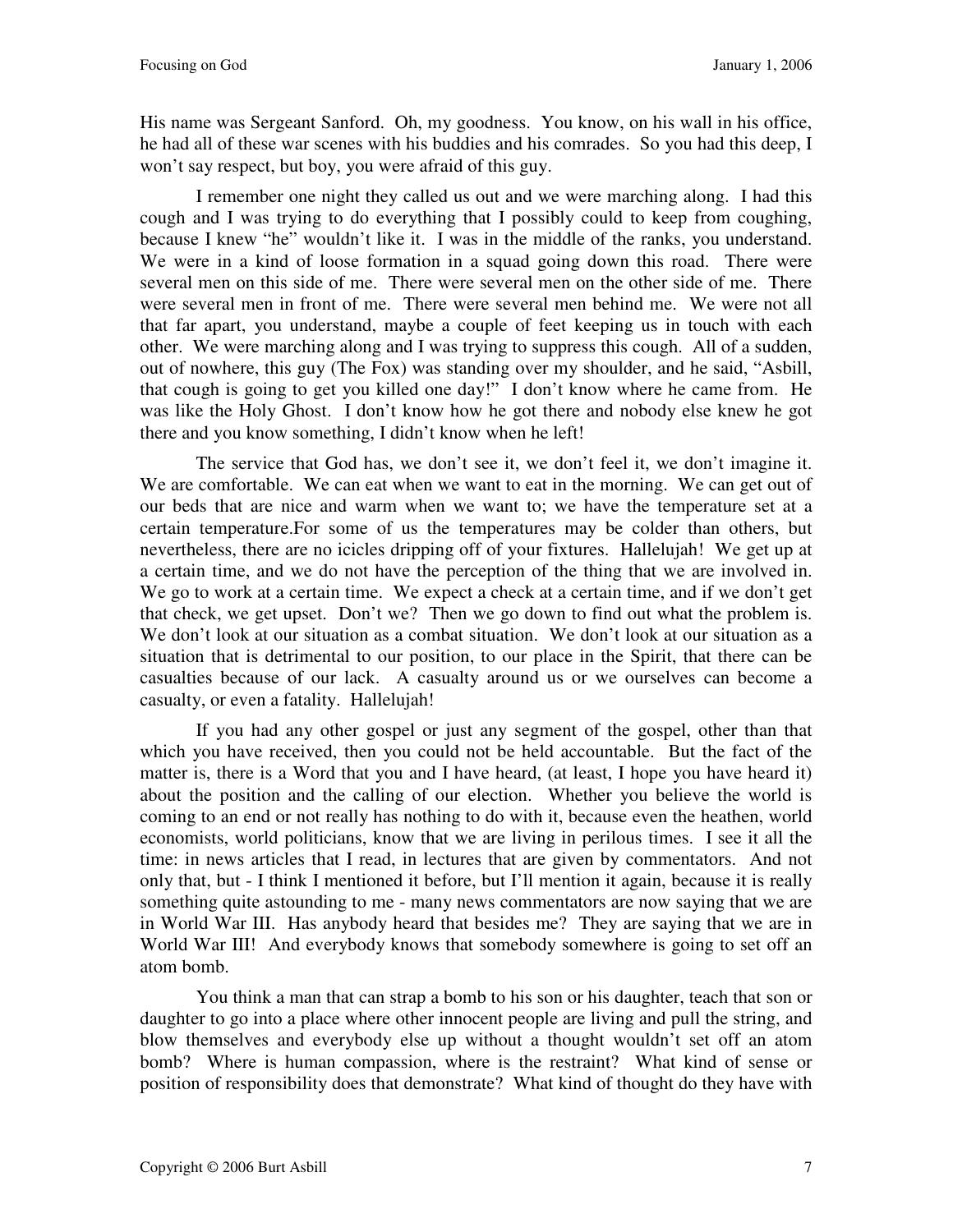His name was Sergeant Sanford. Oh, my goodness. You know, on his wall in his office, he had all of these war scenes with his buddies and his comrades. So you had this deep, I won't say respect, but boy, you were afraid of this guy.

I remember one night they called us out and we were marching along. I had this cough and I was trying to do everything that I possibly could to keep from coughing, because I knew "he" wouldn't like it. I was in the middle of the ranks, you understand. We were in a kind of loose formation in a squad going down this road. There were several men on this side of me. There were several men on the other side of me. There were several men in front of me. There were several men behind me. We were not all that far apart, you understand, maybe a couple of feet keeping us in touch with each other. We were marching along and I was trying to suppress this cough. All of a sudden, out of nowhere, this guy (The Fox) was standing over my shoulder, and he said, "Asbill, that cough is going to get you killed one day!" I don't know where he came from. He was like the Holy Ghost. I don't know how he got there and nobody else knew he got there and you know something, I didn't know when he left!

The service that God has, we don't see it, we don't feel it, we don't imagine it. We are comfortable. We can eat when we want to eat in the morning. We can get out of our beds that are nice and warm when we want to; we have the temperature set at a certain temperature.For some of us the temperatures may be colder than others, but nevertheless, there are no icicles dripping off of your fixtures. Hallelujah! We get up at a certain time, and we do not have the perception of the thing that we are involved in. We go to work at a certain time. We expect a check at a certain time, and if we don't get that check, we get upset. Don't we? Then we go down to find out what the problem is. We don't look at our situation as a combat situation. We don't look at our situation as a situation that is detrimental to our position, to our place in the Spirit, that there can be casualties because of our lack. A casualty around us or we ourselves can become a casualty, or even a fatality. Hallelujah!

If you had any other gospel or just any segment of the gospel, other than that which you have received, then you could not be held accountable. But the fact of the matter is, there is a Word that you and I have heard, (at least, I hope you have heard it) about the position and the calling of our election. Whether you believe the world is coming to an end or not really has nothing to do with it, because even the heathen, world economists, world politicians, know that we are living in perilous times. I see it all the time: in news articles that I read, in lectures that are given by commentators. And not only that, but - I think I mentioned it before, but I'll mention it again, because it is really something quite astounding to me - many news commentators are now saying that we are in World War III. Has anybody heard that besides me? They are saying that we are in World War III! And everybody knows that somebody somewhere is going to set off an atom bomb.

You think a man that can strap a bomb to his son or his daughter, teach that son or daughter to go into a place where other innocent people are living and pull the string, and blow themselves and everybody else up without a thought wouldn't set off an atom bomb? Where is human compassion, where is the restraint? What kind of sense or position of responsibility does that demonstrate? What kind of thought do they have with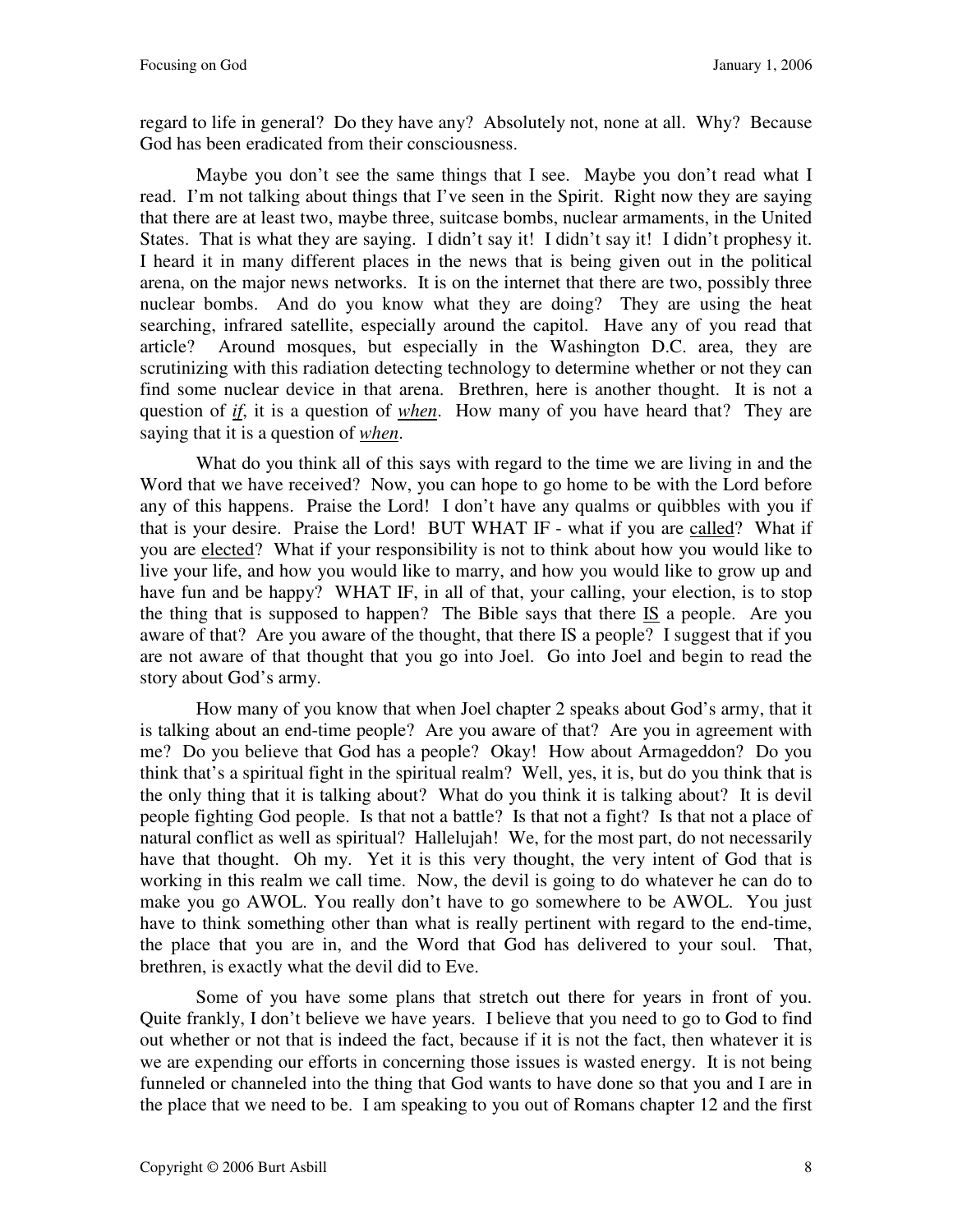regard to life in general? Do they have any? Absolutely not, none at all. Why? Because God has been eradicated from their consciousness.

Maybe you don't see the same things that I see. Maybe you don't read what I read. I'm not talking about things that I've seen in the Spirit. Right now they are saying that there are at least two, maybe three, suitcase bombs, nuclear armaments, in the United States. That is what they are saying. I didn't say it! I didn't say it! I didn't prophesy it. I heard it in many different places in the news that is being given out in the political arena, on the major news networks. It is on the internet that there are two, possibly three nuclear bombs. And do you know what they are doing? They are using the heat searching, infrared satellite, especially around the capitol. Have any of you read that article? Around mosques, but especially in the Washington D.C. area, they are scrutinizing with this radiation detecting technology to determine whether or not they can find some nuclear device in that arena. Brethren, here is another thought. It is not a question of *if*, it is a question of *when*. How many of you have heard that? They are saying that it is a question of *when*.

What do you think all of this says with regard to the time we are living in and the Word that we have received? Now, you can hope to go home to be with the Lord before any of this happens. Praise the Lord! I don't have any qualms or quibbles with you if that is your desire. Praise the Lord! BUT WHAT IF - what if you are called? What if you are elected? What if your responsibility is not to think about how you would like to live your life, and how you would like to marry, and how you would like to grow up and have fun and be happy? WHAT IF, in all of that, your calling, your election, is to stop the thing that is supposed to happen? The Bible says that there IS a people. Are you aware of that? Are you aware of the thought, that there IS a people? I suggest that if you are not aware of that thought that you go into Joel. Go into Joel and begin to read the story about God's army.

How many of you know that when Joel chapter 2 speaks about God's army, that it is talking about an end-time people? Are you aware of that? Are you in agreement with me? Do you believe that God has a people? Okay! How about Armageddon? Do you think that's a spiritual fight in the spiritual realm? Well, yes, it is, but do you think that is the only thing that it is talking about? What do you think it is talking about? It is devil people fighting God people. Is that not a battle? Is that not a fight? Is that not a place of natural conflict as well as spiritual? Hallelujah! We, for the most part, do not necessarily have that thought. Oh my. Yet it is this very thought, the very intent of God that is working in this realm we call time. Now, the devil is going to do whatever he can do to make you go AWOL. You really don't have to go somewhere to be AWOL. You just have to think something other than what is really pertinent with regard to the end-time, the place that you are in, and the Word that God has delivered to your soul. That, brethren, is exactly what the devil did to Eve.

Some of you have some plans that stretch out there for years in front of you. Quite frankly, I don't believe we have years. I believe that you need to go to God to find out whether or not that is indeed the fact, because if it is not the fact, then whatever it is we are expending our efforts in concerning those issues is wasted energy. It is not being funneled or channeled into the thing that God wants to have done so that you and I are in the place that we need to be. I am speaking to you out of Romans chapter 12 and the first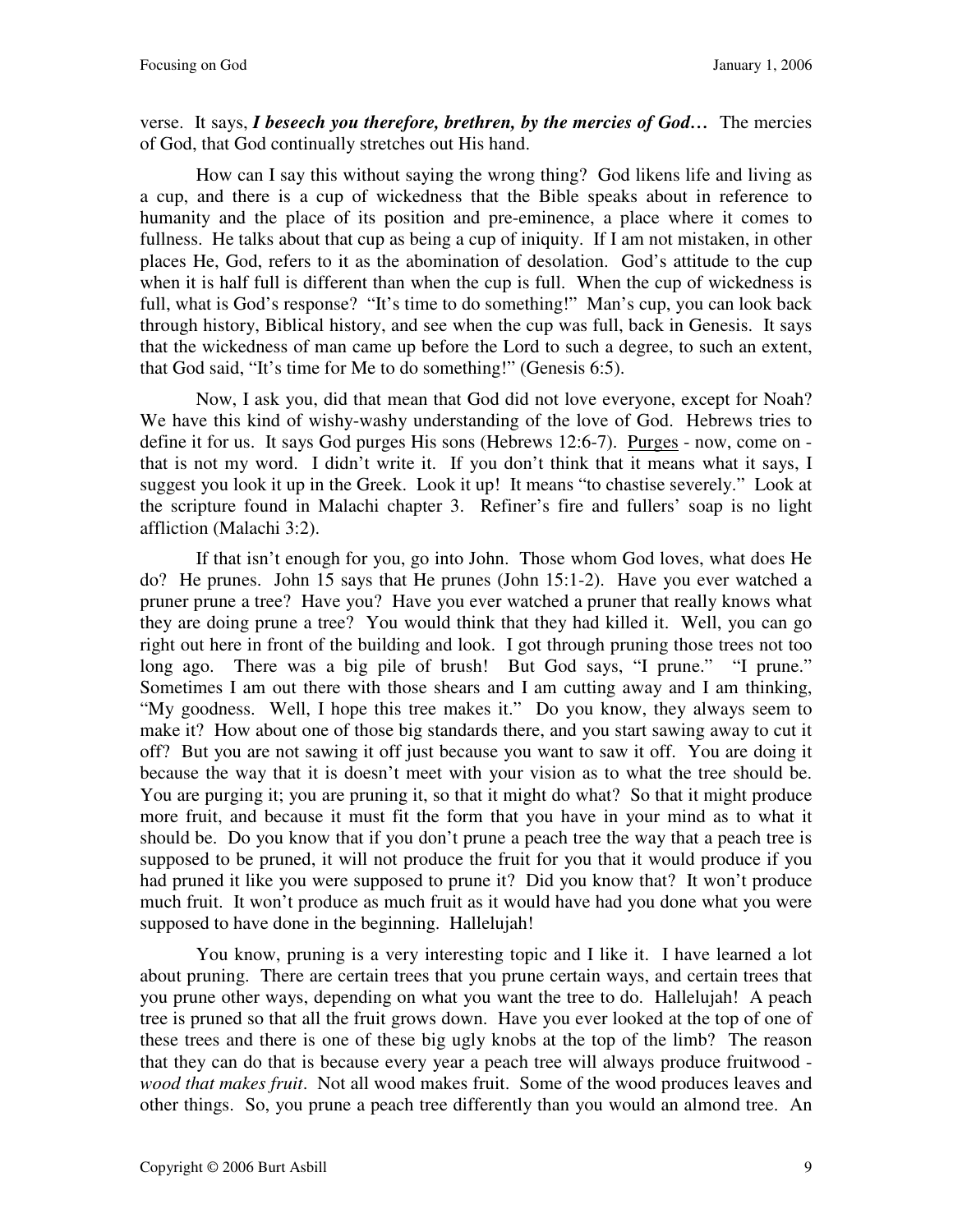verse. It says, *I beseech you therefore, brethren, by the mercies of God…* The mercies of God, that God continually stretches out His hand.

How can I say this without saying the wrong thing? God likens life and living as a cup, and there is a cup of wickedness that the Bible speaks about in reference to humanity and the place of its position and pre-eminence, a place where it comes to fullness. He talks about that cup as being a cup of iniquity. If I am not mistaken, in other places He, God, refers to it as the abomination of desolation. God's attitude to the cup when it is half full is different than when the cup is full. When the cup of wickedness is full, what is God's response? "It's time to do something!" Man's cup, you can look back through history, Biblical history, and see when the cup was full, back in Genesis. It says that the wickedness of man came up before the Lord to such a degree, to such an extent, that God said, "It's time for Me to do something!" (Genesis 6:5).

Now, I ask you, did that mean that God did not love everyone, except for Noah? We have this kind of wishy-washy understanding of the love of God. Hebrews tries to define it for us. It says God purges His sons (Hebrews 12:6-7). Purges - now, come on that is not my word. I didn't write it. If you don't think that it means what it says, I suggest you look it up in the Greek. Look it up! It means "to chastise severely." Look at the scripture found in Malachi chapter 3. Refiner's fire and fullers' soap is no light affliction (Malachi 3:2).

If that isn't enough for you, go into John. Those whom God loves, what does He do? He prunes. John 15 says that He prunes (John 15:1-2). Have you ever watched a pruner prune a tree? Have you? Have you ever watched a pruner that really knows what they are doing prune a tree? You would think that they had killed it. Well, you can go right out here in front of the building and look. I got through pruning those trees not too long ago. There was a big pile of brush! But God says, "I prune." "I prune." Sometimes I am out there with those shears and I am cutting away and I am thinking, "My goodness. Well, I hope this tree makes it." Do you know, they always seem to make it? How about one of those big standards there, and you start sawing away to cut it off? But you are not sawing it off just because you want to saw it off. You are doing it because the way that it is doesn't meet with your vision as to what the tree should be. You are purging it; you are pruning it, so that it might do what? So that it might produce more fruit, and because it must fit the form that you have in your mind as to what it should be. Do you know that if you don't prune a peach tree the way that a peach tree is supposed to be pruned, it will not produce the fruit for you that it would produce if you had pruned it like you were supposed to prune it? Did you know that? It won't produce much fruit. It won't produce as much fruit as it would have had you done what you were supposed to have done in the beginning. Hallelujah!

You know, pruning is a very interesting topic and I like it. I have learned a lot about pruning. There are certain trees that you prune certain ways, and certain trees that you prune other ways, depending on what you want the tree to do. Hallelujah! A peach tree is pruned so that all the fruit grows down. Have you ever looked at the top of one of these trees and there is one of these big ugly knobs at the top of the limb? The reason that they can do that is because every year a peach tree will always produce fruitwood *wood that makes fruit*. Not all wood makes fruit. Some of the wood produces leaves and other things. So, you prune a peach tree differently than you would an almond tree. An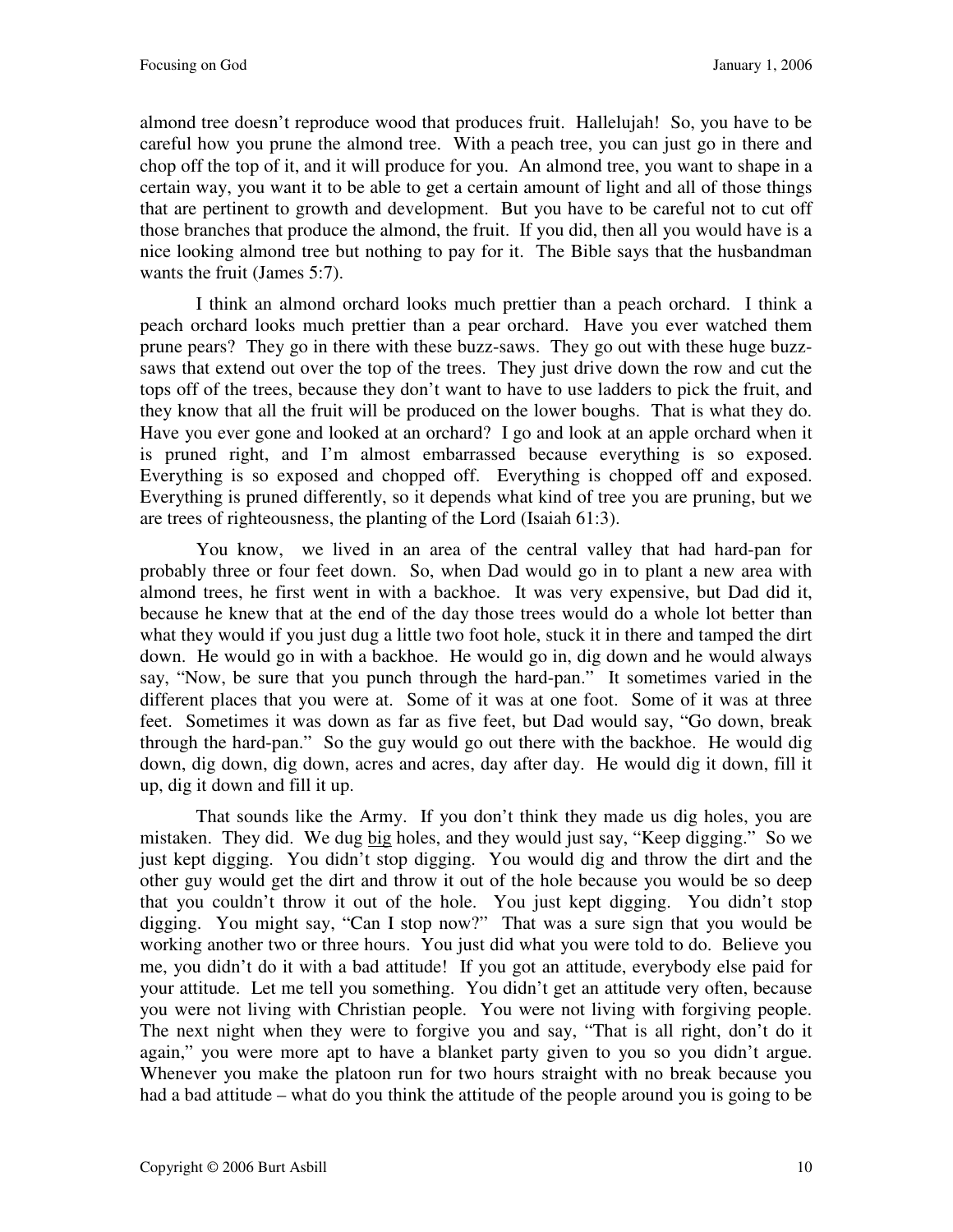almond tree doesn't reproduce wood that produces fruit. Hallelujah! So, you have to be careful how you prune the almond tree. With a peach tree, you can just go in there and chop off the top of it, and it will produce for you. An almond tree, you want to shape in a certain way, you want it to be able to get a certain amount of light and all of those things that are pertinent to growth and development. But you have to be careful not to cut off those branches that produce the almond, the fruit. If you did, then all you would have is a nice looking almond tree but nothing to pay for it. The Bible says that the husbandman wants the fruit (James 5:7).

I think an almond orchard looks much prettier than a peach orchard. I think a peach orchard looks much prettier than a pear orchard. Have you ever watched them prune pears? They go in there with these buzz-saws. They go out with these huge buzzsaws that extend out over the top of the trees. They just drive down the row and cut the tops off of the trees, because they don't want to have to use ladders to pick the fruit, and they know that all the fruit will be produced on the lower boughs. That is what they do. Have you ever gone and looked at an orchard? I go and look at an apple orchard when it is pruned right, and I'm almost embarrassed because everything is so exposed. Everything is so exposed and chopped off. Everything is chopped off and exposed. Everything is pruned differently, so it depends what kind of tree you are pruning, but we are trees of righteousness, the planting of the Lord (Isaiah 61:3).

You know, we lived in an area of the central valley that had hard-pan for probably three or four feet down. So, when Dad would go in to plant a new area with almond trees, he first went in with a backhoe. It was very expensive, but Dad did it, because he knew that at the end of the day those trees would do a whole lot better than what they would if you just dug a little two foot hole, stuck it in there and tamped the dirt down. He would go in with a backhoe. He would go in, dig down and he would always say, "Now, be sure that you punch through the hard-pan." It sometimes varied in the different places that you were at. Some of it was at one foot. Some of it was at three feet. Sometimes it was down as far as five feet, but Dad would say, "Go down, break through the hard-pan." So the guy would go out there with the backhoe. He would dig down, dig down, dig down, acres and acres, day after day. He would dig it down, fill it up, dig it down and fill it up.

That sounds like the Army. If you don't think they made us dig holes, you are mistaken. They did. We dug big holes, and they would just say, "Keep digging." So we just kept digging. You didn't stop digging. You would dig and throw the dirt and the other guy would get the dirt and throw it out of the hole because you would be so deep that you couldn't throw it out of the hole. You just kept digging. You didn't stop digging. You might say, "Can I stop now?" That was a sure sign that you would be working another two or three hours. You just did what you were told to do. Believe you me, you didn't do it with a bad attitude! If you got an attitude, everybody else paid for your attitude. Let me tell you something. You didn't get an attitude very often, because you were not living with Christian people. You were not living with forgiving people. The next night when they were to forgive you and say, "That is all right, don't do it again," you were more apt to have a blanket party given to you so you didn't argue. Whenever you make the platoon run for two hours straight with no break because you had a bad attitude – what do you think the attitude of the people around you is going to be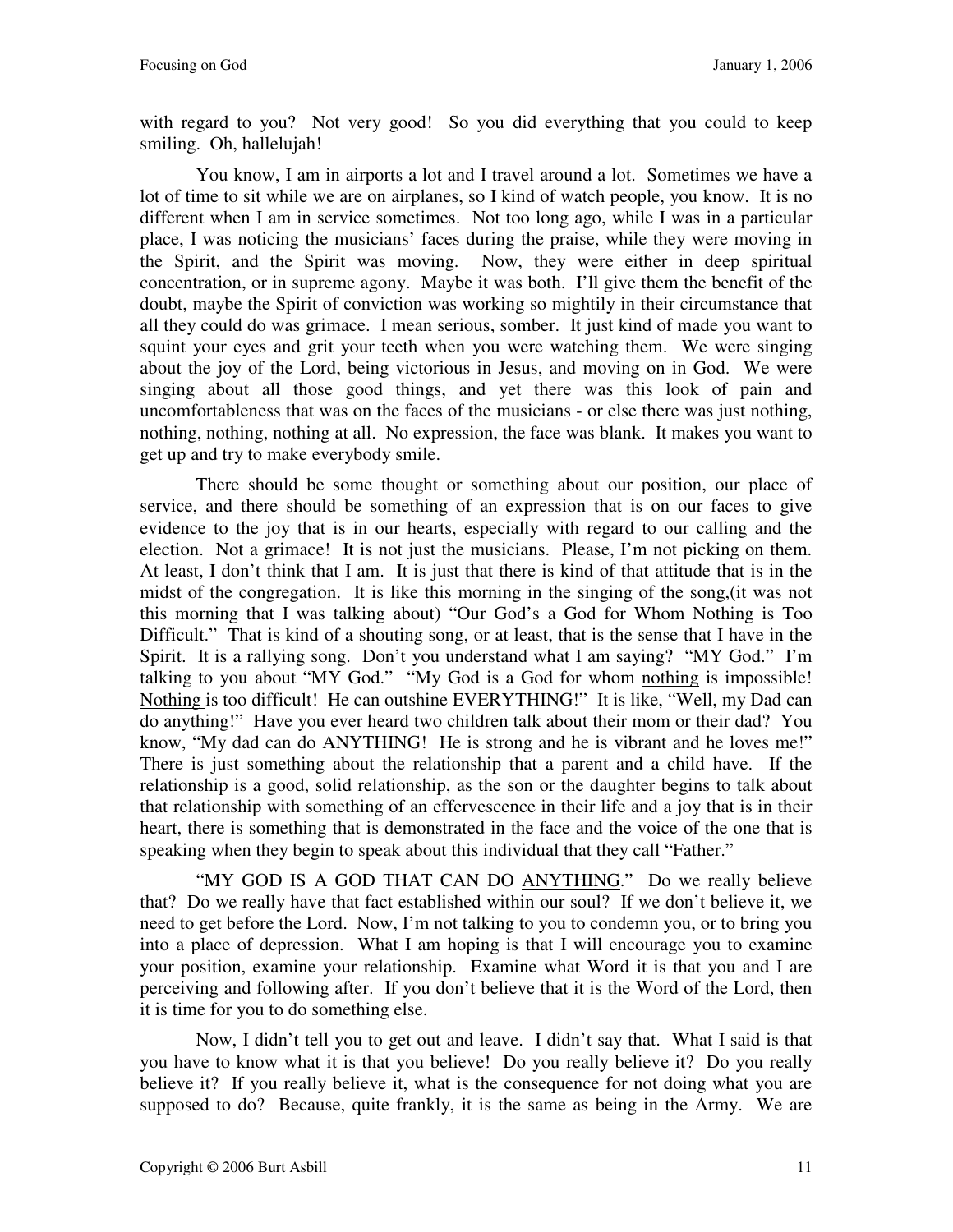with regard to you? Not very good! So you did everything that you could to keep smiling. Oh, hallelujah!

You know, I am in airports a lot and I travel around a lot. Sometimes we have a lot of time to sit while we are on airplanes, so I kind of watch people, you know. It is no different when I am in service sometimes. Not too long ago, while I was in a particular place, I was noticing the musicians' faces during the praise, while they were moving in the Spirit, and the Spirit was moving. Now, they were either in deep spiritual concentration, or in supreme agony. Maybe it was both. I'll give them the benefit of the doubt, maybe the Spirit of conviction was working so mightily in their circumstance that all they could do was grimace. I mean serious, somber. It just kind of made you want to squint your eyes and grit your teeth when you were watching them. We were singing about the joy of the Lord, being victorious in Jesus, and moving on in God. We were singing about all those good things, and yet there was this look of pain and uncomfortableness that was on the faces of the musicians - or else there was just nothing, nothing, nothing, nothing at all. No expression, the face was blank. It makes you want to get up and try to make everybody smile.

There should be some thought or something about our position, our place of service, and there should be something of an expression that is on our faces to give evidence to the joy that is in our hearts, especially with regard to our calling and the election. Not a grimace! It is not just the musicians. Please, I'm not picking on them. At least, I don't think that I am. It is just that there is kind of that attitude that is in the midst of the congregation. It is like this morning in the singing of the song,(it was not this morning that I was talking about) "Our God's a God for Whom Nothing is Too Difficult." That is kind of a shouting song, or at least, that is the sense that I have in the Spirit. It is a rallying song. Don't you understand what I am saying? "MY God." I'm talking to you about "MY God." "My God is a God for whom nothing is impossible! Nothing is too difficult! He can outshine EVERYTHING!" It is like, "Well, my Dad can do anything!" Have you ever heard two children talk about their mom or their dad? You know, "My dad can do ANYTHING! He is strong and he is vibrant and he loves me!" There is just something about the relationship that a parent and a child have. If the relationship is a good, solid relationship, as the son or the daughter begins to talk about that relationship with something of an effervescence in their life and a joy that is in their heart, there is something that is demonstrated in the face and the voice of the one that is speaking when they begin to speak about this individual that they call "Father."

"MY GOD IS A GOD THAT CAN DO ANYTHING." Do we really believe that? Do we really have that fact established within our soul? If we don't believe it, we need to get before the Lord. Now, I'm not talking to you to condemn you, or to bring you into a place of depression. What I am hoping is that I will encourage you to examine your position, examine your relationship. Examine what Word it is that you and I are perceiving and following after. If you don't believe that it is the Word of the Lord, then it is time for you to do something else.

Now, I didn't tell you to get out and leave. I didn't say that. What I said is that you have to know what it is that you believe! Do you really believe it? Do you really believe it? If you really believe it, what is the consequence for not doing what you are supposed to do? Because, quite frankly, it is the same as being in the Army. We are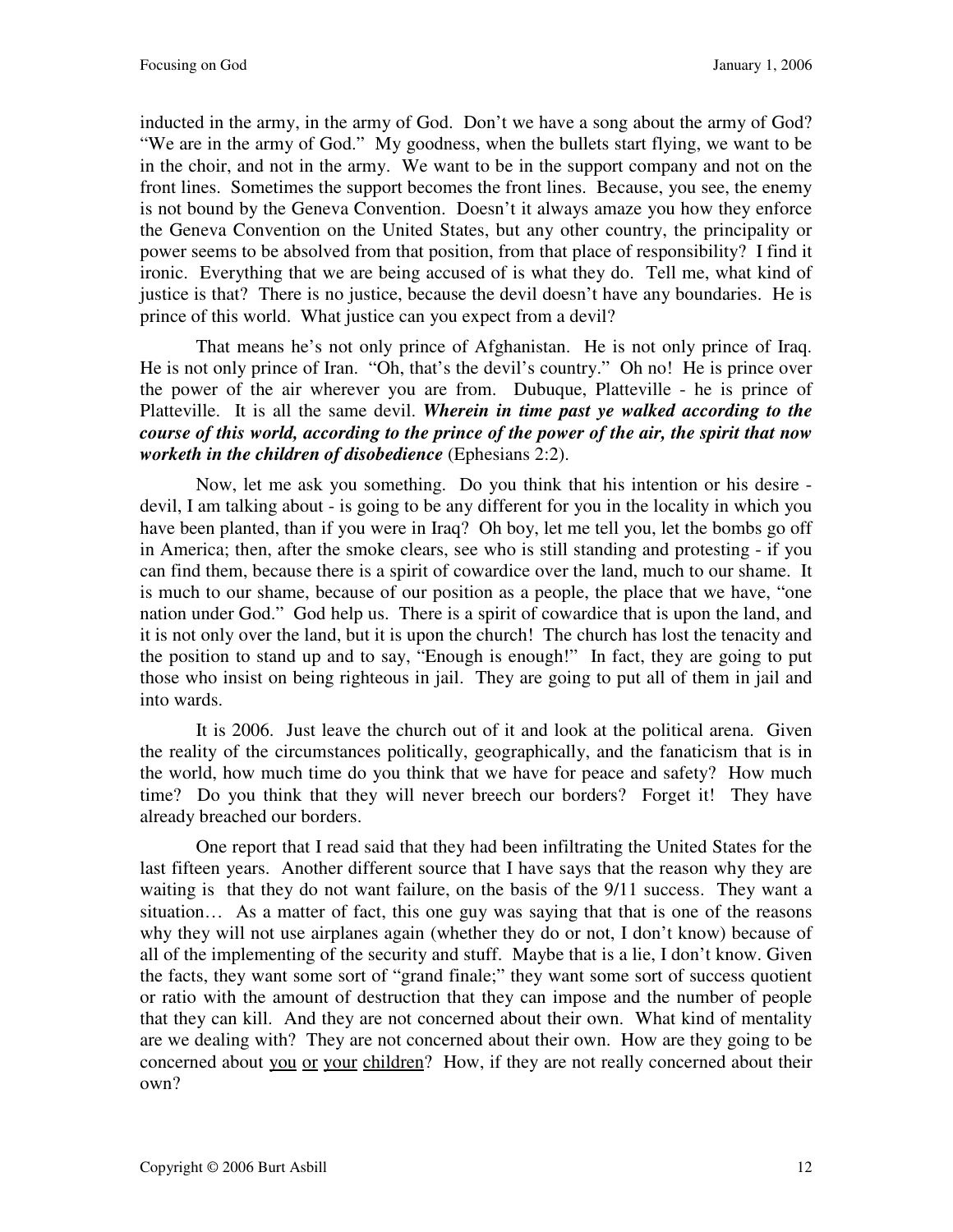inducted in the army, in the army of God. Don't we have a song about the army of God? "We are in the army of God." My goodness, when the bullets start flying, we want to be in the choir, and not in the army. We want to be in the support company and not on the front lines. Sometimes the support becomes the front lines. Because, you see, the enemy is not bound by the Geneva Convention. Doesn't it always amaze you how they enforce the Geneva Convention on the United States, but any other country, the principality or power seems to be absolved from that position, from that place of responsibility? I find it ironic. Everything that we are being accused of is what they do. Tell me, what kind of justice is that? There is no justice, because the devil doesn't have any boundaries. He is prince of this world. What justice can you expect from a devil?

That means he's not only prince of Afghanistan. He is not only prince of Iraq. He is not only prince of Iran. "Oh, that's the devil's country." Oh no! He is prince over the power of the air wherever you are from. Dubuque, Platteville - he is prince of Platteville. It is all the same devil. *Wherein in time past ye walked according to the course of this world, according to the prince of the power of the air, the spirit that now worketh in the children of disobedience* (Ephesians 2:2).

Now, let me ask you something. Do you think that his intention or his desire devil, I am talking about - is going to be any different for you in the locality in which you have been planted, than if you were in Iraq? Oh boy, let me tell you, let the bombs go off in America; then, after the smoke clears, see who is still standing and protesting - if you can find them, because there is a spirit of cowardice over the land, much to our shame. It is much to our shame, because of our position as a people, the place that we have, "one nation under God." God help us. There is a spirit of cowardice that is upon the land, and it is not only over the land, but it is upon the church! The church has lost the tenacity and the position to stand up and to say, "Enough is enough!" In fact, they are going to put those who insist on being righteous in jail. They are going to put all of them in jail and into wards.

It is 2006. Just leave the church out of it and look at the political arena. Given the reality of the circumstances politically, geographically, and the fanaticism that is in the world, how much time do you think that we have for peace and safety? How much time? Do you think that they will never breech our borders? Forget it! They have already breached our borders.

One report that I read said that they had been infiltrating the United States for the last fifteen years. Another different source that I have says that the reason why they are waiting is that they do not want failure, on the basis of the 9/11 success. They want a situation… As a matter of fact, this one guy was saying that that is one of the reasons why they will not use airplanes again (whether they do or not, I don't know) because of all of the implementing of the security and stuff. Maybe that is a lie, I don't know. Given the facts, they want some sort of "grand finale;" they want some sort of success quotient or ratio with the amount of destruction that they can impose and the number of people that they can kill. And they are not concerned about their own. What kind of mentality are we dealing with? They are not concerned about their own. How are they going to be concerned about you or your children? How, if they are not really concerned about their own?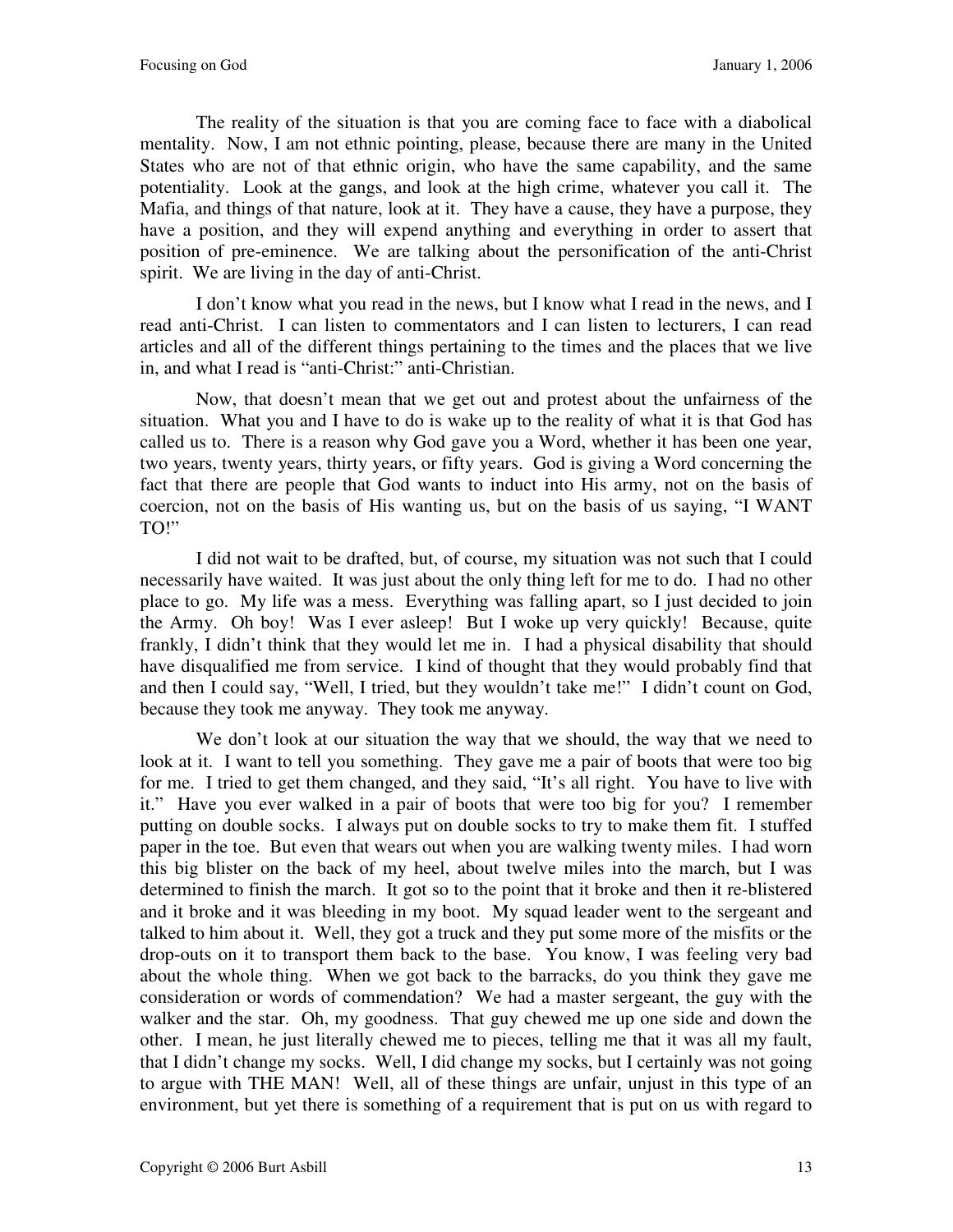The reality of the situation is that you are coming face to face with a diabolical mentality. Now, I am not ethnic pointing, please, because there are many in the United States who are not of that ethnic origin, who have the same capability, and the same potentiality. Look at the gangs, and look at the high crime, whatever you call it. The Mafia, and things of that nature, look at it. They have a cause, they have a purpose, they have a position, and they will expend anything and everything in order to assert that position of pre-eminence. We are talking about the personification of the anti-Christ spirit. We are living in the day of anti-Christ.

I don't know what you read in the news, but I know what I read in the news, and I read anti-Christ. I can listen to commentators and I can listen to lecturers, I can read articles and all of the different things pertaining to the times and the places that we live in, and what I read is "anti-Christ:" anti-Christian.

Now, that doesn't mean that we get out and protest about the unfairness of the situation. What you and I have to do is wake up to the reality of what it is that God has called us to. There is a reason why God gave you a Word, whether it has been one year, two years, twenty years, thirty years, or fifty years. God is giving a Word concerning the fact that there are people that God wants to induct into His army, not on the basis of coercion, not on the basis of His wanting us, but on the basis of us saying, "I WANT TO!"

I did not wait to be drafted, but, of course, my situation was not such that I could necessarily have waited. It was just about the only thing left for me to do. I had no other place to go. My life was a mess. Everything was falling apart, so I just decided to join the Army. Oh boy! Was I ever asleep! But I woke up very quickly! Because, quite frankly, I didn't think that they would let me in. I had a physical disability that should have disqualified me from service. I kind of thought that they would probably find that and then I could say, "Well, I tried, but they wouldn't take me!" I didn't count on God, because they took me anyway. They took me anyway.

We don't look at our situation the way that we should, the way that we need to look at it. I want to tell you something. They gave me a pair of boots that were too big for me. I tried to get them changed, and they said, "It's all right. You have to live with it." Have you ever walked in a pair of boots that were too big for you? I remember putting on double socks. I always put on double socks to try to make them fit. I stuffed paper in the toe. But even that wears out when you are walking twenty miles. I had worn this big blister on the back of my heel, about twelve miles into the march, but I was determined to finish the march. It got so to the point that it broke and then it re-blistered and it broke and it was bleeding in my boot. My squad leader went to the sergeant and talked to him about it. Well, they got a truck and they put some more of the misfits or the drop-outs on it to transport them back to the base. You know, I was feeling very bad about the whole thing. When we got back to the barracks, do you think they gave me consideration or words of commendation? We had a master sergeant, the guy with the walker and the star. Oh, my goodness. That guy chewed me up one side and down the other. I mean, he just literally chewed me to pieces, telling me that it was all my fault, that I didn't change my socks. Well, I did change my socks, but I certainly was not going to argue with THE MAN! Well, all of these things are unfair, unjust in this type of an environment, but yet there is something of a requirement that is put on us with regard to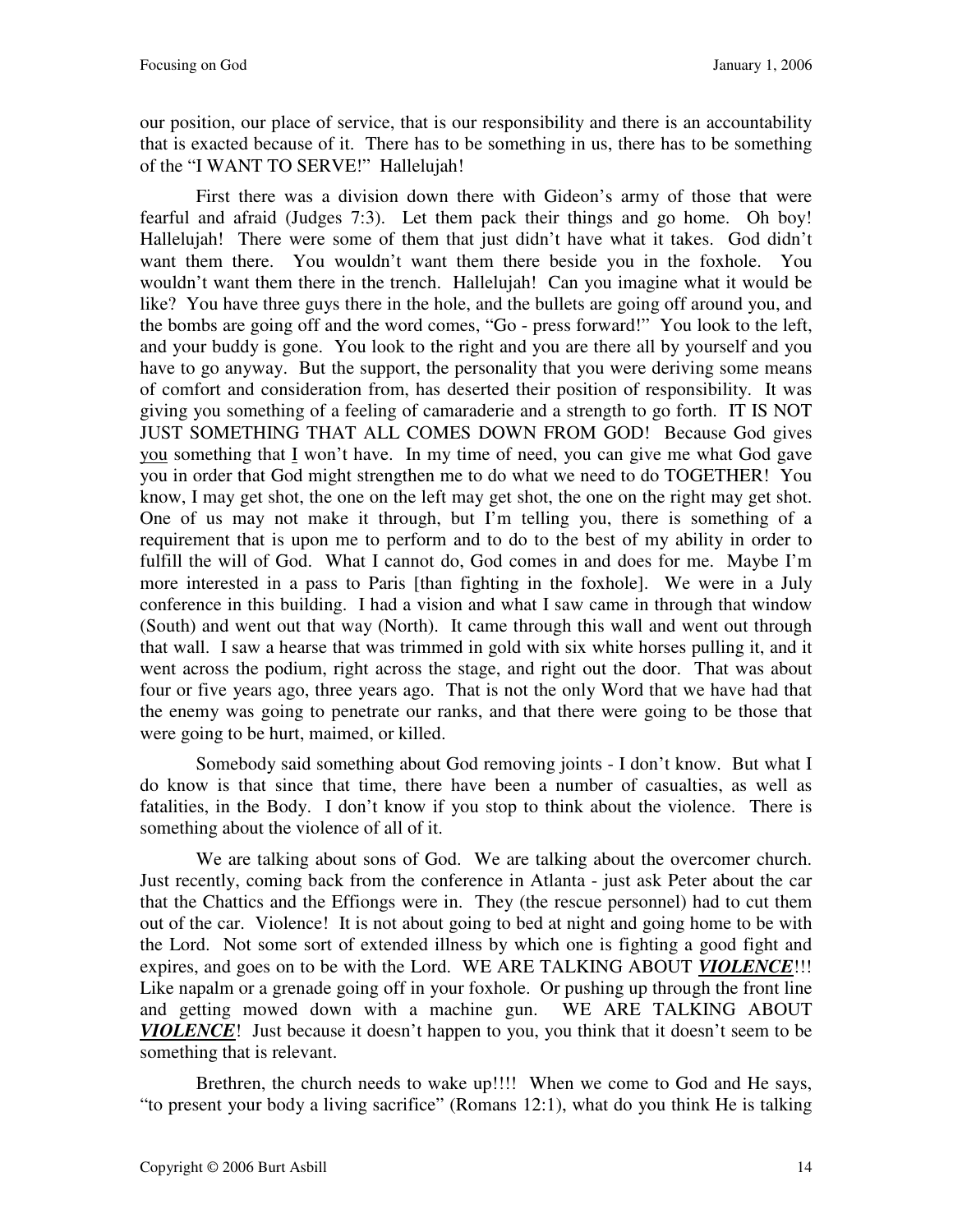our position, our place of service, that is our responsibility and there is an accountability that is exacted because of it. There has to be something in us, there has to be something of the "I WANT TO SERVE!" Hallelujah!

First there was a division down there with Gideon's army of those that were fearful and afraid (Judges 7:3). Let them pack their things and go home. Oh boy! Hallelujah! There were some of them that just didn't have what it takes. God didn't want them there. You wouldn't want them there beside you in the foxhole. You wouldn't want them there in the trench. Hallelujah! Can you imagine what it would be like? You have three guys there in the hole, and the bullets are going off around you, and the bombs are going off and the word comes, "Go - press forward!" You look to the left, and your buddy is gone. You look to the right and you are there all by yourself and you have to go anyway. But the support, the personality that you were deriving some means of comfort and consideration from, has deserted their position of responsibility. It was giving you something of a feeling of camaraderie and a strength to go forth. IT IS NOT JUST SOMETHING THAT ALL COMES DOWN FROM GOD! Because God gives you something that I won't have. In my time of need, you can give me what God gave you in order that God might strengthen me to do what we need to do TOGETHER! You know, I may get shot, the one on the left may get shot, the one on the right may get shot. One of us may not make it through, but I'm telling you, there is something of a requirement that is upon me to perform and to do to the best of my ability in order to fulfill the will of God. What I cannot do, God comes in and does for me. Maybe I'm more interested in a pass to Paris [than fighting in the foxhole]. We were in a July conference in this building. I had a vision and what I saw came in through that window (South) and went out that way (North). It came through this wall and went out through that wall. I saw a hearse that was trimmed in gold with six white horses pulling it, and it went across the podium, right across the stage, and right out the door. That was about four or five years ago, three years ago. That is not the only Word that we have had that the enemy was going to penetrate our ranks, and that there were going to be those that were going to be hurt, maimed, or killed.

Somebody said something about God removing joints - I don't know. But what I do know is that since that time, there have been a number of casualties, as well as fatalities, in the Body. I don't know if you stop to think about the violence. There is something about the violence of all of it.

We are talking about sons of God. We are talking about the overcomer church. Just recently, coming back from the conference in Atlanta - just ask Peter about the car that the Chattics and the Effiongs were in. They (the rescue personnel) had to cut them out of the car. Violence! It is not about going to bed at night and going home to be with the Lord. Not some sort of extended illness by which one is fighting a good fight and expires, and goes on to be with the Lord. WE ARE TALKING ABOUT **VIOLENCE**!!! Like napalm or a grenade going off in your foxhole. Or pushing up through the front line and getting mowed down with a machine gun. WE ARE TALKING ABOUT *VIOLENCE*! Just because it doesn't happen to you, you think that it doesn't seem to be something that is relevant.

Brethren, the church needs to wake up!!!! When we come to God and He says, "to present your body a living sacrifice" (Romans 12:1), what do you think He is talking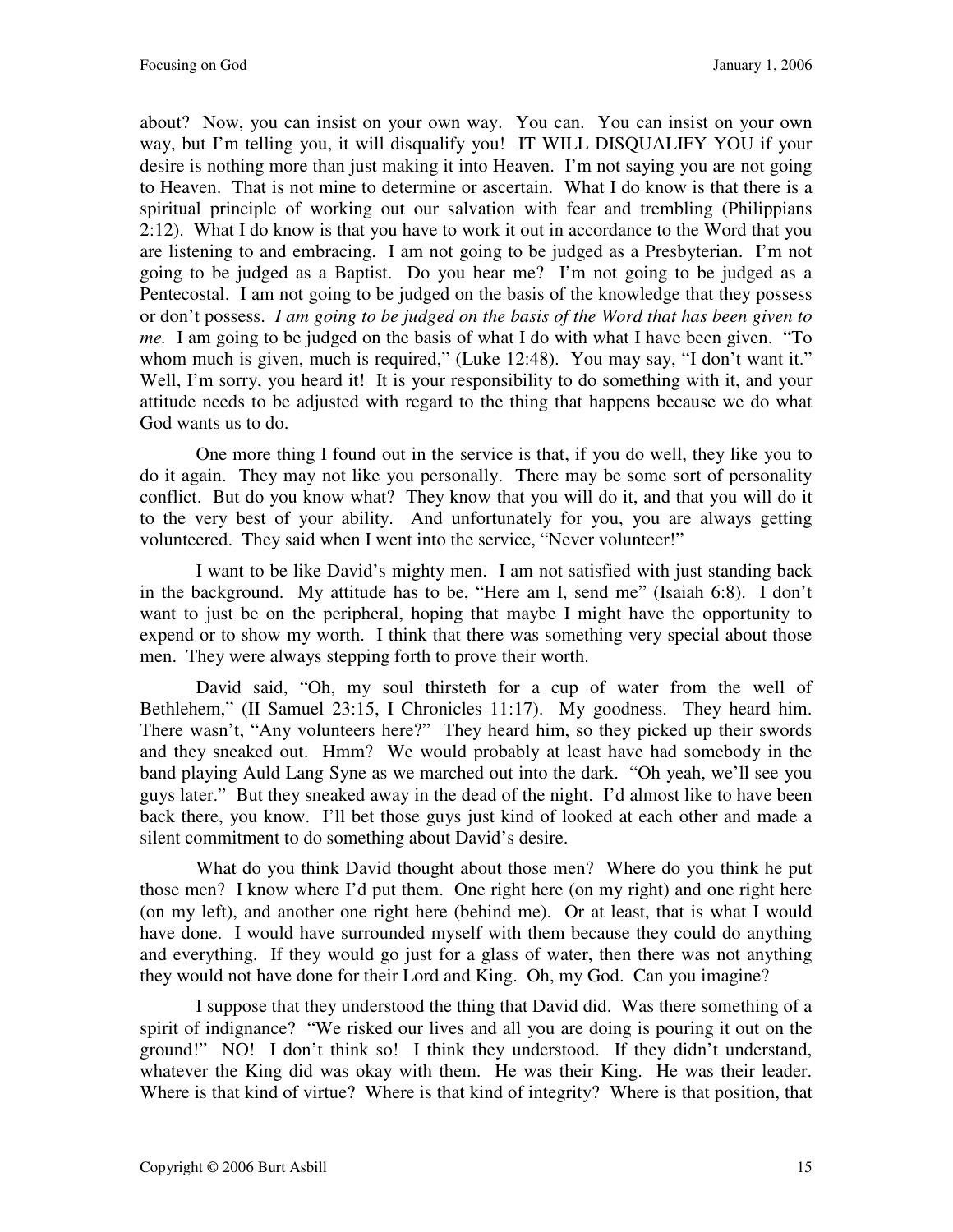about? Now, you can insist on your own way. You can. You can insist on your own way, but I'm telling you, it will disqualify you! IT WILL DISQUALIFY YOU if your desire is nothing more than just making it into Heaven. I'm not saying you are not going to Heaven. That is not mine to determine or ascertain. What I do know is that there is a spiritual principle of working out our salvation with fear and trembling (Philippians 2:12). What I do know is that you have to work it out in accordance to the Word that you are listening to and embracing. I am not going to be judged as a Presbyterian. I'm not going to be judged as a Baptist. Do you hear me? I'm not going to be judged as a Pentecostal. I am not going to be judged on the basis of the knowledge that they possess or don't possess. *I am going to be judged on the basis of the Word that has been given to me.* I am going to be judged on the basis of what I do with what I have been given. "To whom much is given, much is required," (Luke 12:48). You may say, "I don't want it." Well, I'm sorry, you heard it! It is your responsibility to do something with it, and your attitude needs to be adjusted with regard to the thing that happens because we do what God wants us to do.

One more thing I found out in the service is that, if you do well, they like you to do it again. They may not like you personally. There may be some sort of personality conflict. But do you know what? They know that you will do it, and that you will do it to the very best of your ability. And unfortunately for you, you are always getting volunteered. They said when I went into the service, "Never volunteer!"

I want to be like David's mighty men. I am not satisfied with just standing back in the background. My attitude has to be, "Here am I, send me" (Isaiah 6:8). I don't want to just be on the peripheral, hoping that maybe I might have the opportunity to expend or to show my worth. I think that there was something very special about those men. They were always stepping forth to prove their worth.

David said, "Oh, my soul thirsteth for a cup of water from the well of Bethlehem," (II Samuel 23:15, I Chronicles 11:17). My goodness. They heard him. There wasn't, "Any volunteers here?" They heard him, so they picked up their swords and they sneaked out. Hmm? We would probably at least have had somebody in the band playing Auld Lang Syne as we marched out into the dark. "Oh yeah, we'll see you guys later." But they sneaked away in the dead of the night. I'd almost like to have been back there, you know. I'll bet those guys just kind of looked at each other and made a silent commitment to do something about David's desire.

What do you think David thought about those men? Where do you think he put those men? I know where I'd put them. One right here (on my right) and one right here (on my left), and another one right here (behind me). Or at least, that is what I would have done. I would have surrounded myself with them because they could do anything and everything. If they would go just for a glass of water, then there was not anything they would not have done for their Lord and King. Oh, my God. Can you imagine?

I suppose that they understood the thing that David did. Was there something of a spirit of indignance? "We risked our lives and all you are doing is pouring it out on the ground!" NO! I don't think so! I think they understood. If they didn't understand, whatever the King did was okay with them. He was their King. He was their leader. Where is that kind of virtue? Where is that kind of integrity? Where is that position, that